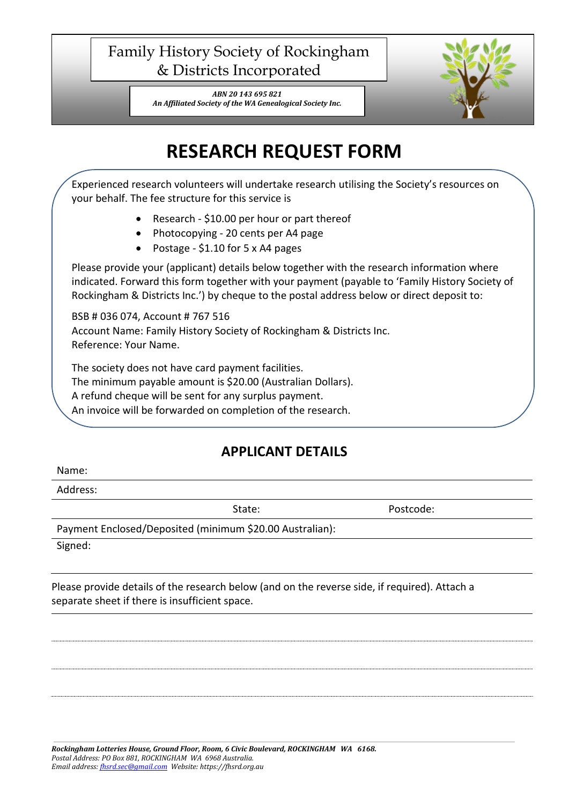## Family History Society of Rockingham & Districts Incorporated

*ABN 20 143 695 821 An Affiliated Society of the WA Genealogical Society Inc.*



## **RESEARCH REQUEST FORM**

Experienced research volunteers will undertake research utilising the Society's resources on your behalf. The fee structure for this service is

- Research \$10.00 per hour or part thereof
- Photocopying 20 cents per A4 page
- Postage \$1.10 for 5 x A4 pages

Please provide your (applicant) details below together with the research information where indicated. Forward this form together with your payment (payable to 'Family History Society of Rockingham & Districts Inc.') by cheque to the postal address below or direct deposit to:

BSB # 036 074, Account # 767 516 Account Name: Family History Society of Rockingham & Districts Inc. Reference: Your Name.

The society does not have card payment facilities. The minimum payable amount is \$20.00 (Australian Dollars). A refund cheque will be sent for any surplus payment.

An invoice will be forwarded on completion of the research.

## **APPLICANT DETAILS**

Name:

Address:

State: Postcode:

Payment Enclosed/Deposited (minimum \$20.00 Australian):

Signed:

Please provide details of the research below (and on the reverse side, if required). Attach a separate sheet if there is insufficient space.

*Rockingham Lotteries House, Ground Floor, Room, 6 Civic Boulevard, ROCKINGHAM WA 6168. Postal Address: PO Box 881, ROCKINGHAM WA 6968 Australia. Email address[: fhsrd.sec@gmail.com](mailto:fhsrd.sec@gmail.com) Website: https://fhsrd.org.au*